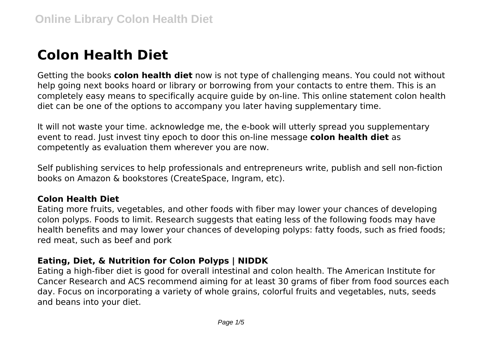# **Colon Health Diet**

Getting the books **colon health diet** now is not type of challenging means. You could not without help going next books hoard or library or borrowing from your contacts to entre them. This is an completely easy means to specifically acquire guide by on-line. This online statement colon health diet can be one of the options to accompany you later having supplementary time.

It will not waste your time. acknowledge me, the e-book will utterly spread you supplementary event to read. Just invest tiny epoch to door this on-line message **colon health diet** as competently as evaluation them wherever you are now.

Self publishing services to help professionals and entrepreneurs write, publish and sell non-fiction books on Amazon & bookstores (CreateSpace, Ingram, etc).

# **Colon Health Diet**

Eating more fruits, vegetables, and other foods with fiber may lower your chances of developing colon polyps. Foods to limit. Research suggests that eating less of the following foods may have health benefits and may lower your chances of developing polyps: fatty foods, such as fried foods; red meat, such as beef and pork

# **Eating, Diet, & Nutrition for Colon Polyps | NIDDK**

Eating a high-fiber diet is good for overall intestinal and colon health. The American Institute for Cancer Research and ACS recommend aiming for at least 30 grams of fiber from food sources each day. Focus on incorporating a variety of whole grains, colorful fruits and vegetables, nuts, seeds and beans into your diet.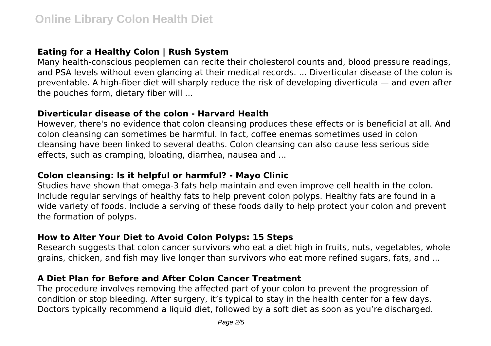# **Eating for a Healthy Colon | Rush System**

Many health-conscious peoplemen can recite their cholesterol counts and, blood pressure readings, and PSA levels without even glancing at their medical records. ... Diverticular disease of the colon is preventable. A high-fiber diet will sharply reduce the risk of developing diverticula — and even after the pouches form, dietary fiber will ...

## **Diverticular disease of the colon - Harvard Health**

However, there's no evidence that colon cleansing produces these effects or is beneficial at all. And colon cleansing can sometimes be harmful. In fact, coffee enemas sometimes used in colon cleansing have been linked to several deaths. Colon cleansing can also cause less serious side effects, such as cramping, bloating, diarrhea, nausea and ...

## **Colon cleansing: Is it helpful or harmful? - Mayo Clinic**

Studies have shown that omega-3 fats help maintain and even improve cell health in the colon. Include regular servings of healthy fats to help prevent colon polyps. Healthy fats are found in a wide variety of foods. Include a serving of these foods daily to help protect your colon and prevent the formation of polyps.

# **How to Alter Your Diet to Avoid Colon Polyps: 15 Steps**

Research suggests that colon cancer survivors who eat a diet high in fruits, nuts, vegetables, whole grains, chicken, and fish may live longer than survivors who eat more refined sugars, fats, and ...

# **A Diet Plan for Before and After Colon Cancer Treatment**

The procedure involves removing the affected part of your colon to prevent the progression of condition or stop bleeding. After surgery, it's typical to stay in the health center for a few days. Doctors typically recommend a liquid diet, followed by a soft diet as soon as you're discharged.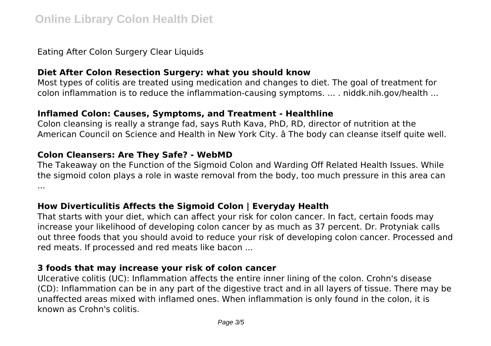Eating After Colon Surgery Clear Liquids

## **Diet After Colon Resection Surgery: what you should know**

Most types of colitis are treated using medication and changes to diet. The goal of treatment for colon inflammation is to reduce the inflammation-causing symptoms. ... . niddk.nih.gov/health ...

#### **Inflamed Colon: Causes, Symptoms, and Treatment - Healthline**

Colon cleansing is really a strange fad, says Ruth Kava, PhD, RD, director of nutrition at the American Council on Science and Health in New York City. â The body can cleanse itself quite well.

#### **Colon Cleansers: Are They Safe? - WebMD**

The Takeaway on the Function of the Sigmoid Colon and Warding Off Related Health Issues. While the sigmoid colon plays a role in waste removal from the body, too much pressure in this area can ...

## **How Diverticulitis Affects the Sigmoid Colon | Everyday Health**

That starts with your diet, which can affect your risk for colon cancer. In fact, certain foods may increase your likelihood of developing colon cancer by as much as 37 percent. Dr. Protyniak calls out three foods that you should avoid to reduce your risk of developing colon cancer. Processed and red meats. If processed and red meats like bacon ...

# **3 foods that may increase your risk of colon cancer**

Ulcerative colitis (UC): Inflammation affects the entire inner lining of the colon. Crohn's disease (CD): Inflammation can be in any part of the digestive tract and in all layers of tissue. There may be unaffected areas mixed with inflamed ones. When inflammation is only found in the colon, it is known as Crohn's colitis.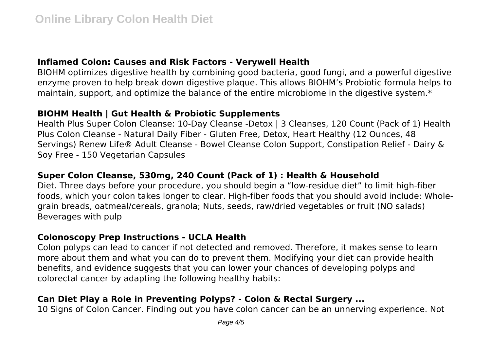## **Inflamed Colon: Causes and Risk Factors - Verywell Health**

BIOHM optimizes digestive health by combining good bacteria, good fungi, and a powerful digestive enzyme proven to help break down digestive plaque. This allows BIOHM's Probiotic formula helps to maintain, support, and optimize the balance of the entire microbiome in the digestive system.\*

## **BIOHM Health | Gut Health & Probiotic Supplements**

Health Plus Super Colon Cleanse: 10-Day Cleanse -Detox | 3 Cleanses, 120 Count (Pack of 1) Health Plus Colon Cleanse - Natural Daily Fiber - Gluten Free, Detox, Heart Healthy (12 Ounces, 48 Servings) Renew Life® Adult Cleanse - Bowel Cleanse Colon Support, Constipation Relief - Dairy & Soy Free - 150 Vegetarian Capsules

# **Super Colon Cleanse, 530mg, 240 Count (Pack of 1) : Health & Household**

Diet. Three days before your procedure, you should begin a "low-residue diet" to limit high-fiber foods, which your colon takes longer to clear. High-fiber foods that you should avoid include: Wholegrain breads, oatmeal/cereals, granola; Nuts, seeds, raw/dried vegetables or fruit (NO salads) Beverages with pulp

## **Colonoscopy Prep Instructions - UCLA Health**

Colon polyps can lead to cancer if not detected and removed. Therefore, it makes sense to learn more about them and what you can do to prevent them. Modifying your diet can provide health benefits, and evidence suggests that you can lower your chances of developing polyps and colorectal cancer by adapting the following healthy habits:

# **Can Diet Play a Role in Preventing Polyps? - Colon & Rectal Surgery ...**

10 Signs of Colon Cancer. Finding out you have colon cancer can be an unnerving experience. Not